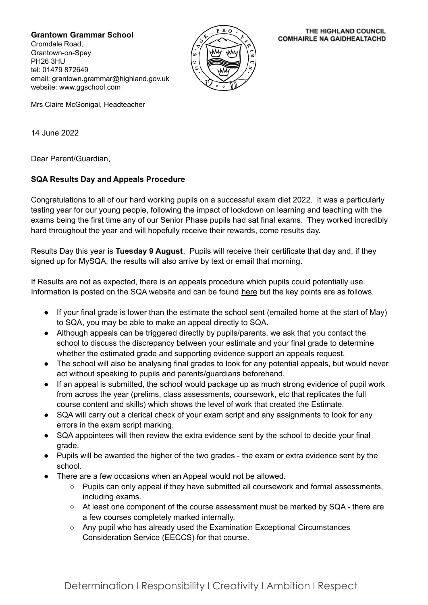**Grantown Grammar School**

Cromdale Road, Grantown-on-Spey PH26 3HU tel: 01479 872649 email: grantown.grammar@highland.gov.uk website: www.ggschool.com



THE HIGHLAND COUNCIL **COMHAIRLE NA GAIDHEALTACHD** 

Mrs Claire McGonigal, Headteacher

14 June 2022

Dear Parent/Guardian,

## **SQA Results Day and Appeals Procedure**

Congratulations to all of our hard working pupils on a successful exam diet 2022. It was a particularly testing year for our young people, following the impact of lockdown on learning and teaching with the exams being the first time any of our Senior Phase pupils had sat final exams. They worked incredibly hard throughout the year and will hopefully receive their rewards, come results day.

Results Day this year is **Tuesday 9 August**. Pupils will receive their certificate that day and, if they signed up for MySQA, the results will also arrive by text or email that morning.

If Results are not as expected, there is an appeals procedure which pupils could potentially use. Information is posted on the SQA website and can be found [here](https://www.sqa.org.uk/sqa/79049.html) but the key points are as follows.

- If your final grade is lower than the estimate the school sent (emailed home at the start of May) to SQA, you may be able to make an appeal directly to SQA.
- Although appeals can be triggered directly by pupils/parents, we ask that you contact the school to discuss the discrepancy between your estimate and your final grade to determine whether the estimated grade and supporting evidence support an appeals request.
- The school will also be analysing final grades to look for any potential appeals, but would never act without speaking to pupils and parents/guardians beforehand.
- If an appeal is submitted, the school would package up as much strong evidence of pupil work from across the year (prelims, class assessments, coursework, etc that replicates the full course content and skills) which shows the level of work that created the Estimate.
- SQA will carry out a clerical check of your exam script and any assignments to look for any errors in the exam script marking.
- SQA appointees will then review the extra evidence sent by the school to decide your final grade.
- Pupils will be awarded the higher of the two grades the exam or extra evidence sent by the school.
	- There are a few occasions when an Appeal would not be allowed.
		- Pupils can only appeal if they have submitted all coursework and formal assessments, including exams.
		- At least one component of the course assessment must be marked by SQA there are a few courses completely marked internally.
		- Any pupil who has already used the Examination Exceptional Circumstances Consideration Service (EECCS) for that course.